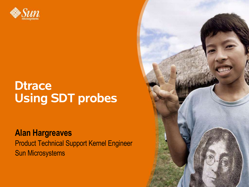

### **Dtrace Using SDT probes**

#### **Alan Hargreaves**

Product Technical Support Kernel Engineer Sun Microsystems

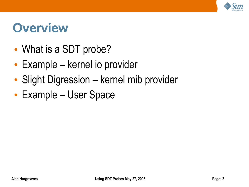

### **Overview**

- What is a SDT probe?
- Example kernel io provider
- Slight Digression kernel mib provider
- Example User Space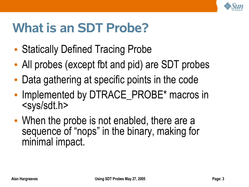

# **What is an SDT Probe?**

- Statically Defined Tracing Probe
- All probes (except fbt and pid) are SDT probes
- Data gathering at specific points in the code
- Implemented by DTRACE\_PROBE\* macros in <sys/sdt.h>
- When the probe is not enabled, there are a sequence of "nops" in the binary, making for minimal impact.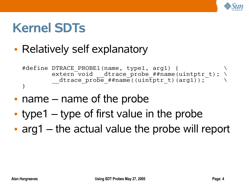

### **Kernel SDTs**

• Relatively self explanatory

```
#define DTRACE PROBE1(name, type1, arg1) {
        extern void __dtrace probe ##name(uintptr t);
           dtrace\_pro\overline{be} ##name((uintptr t)(arg1));
}
```
- name name of the probe
- type1  $-$  type of first value in the probe
- arg1 the actual value the probe will report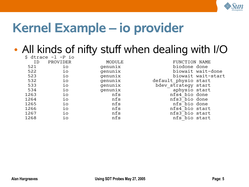

# **Kernel Example – io provider**

#### • All kinds of nifty stuff when dealing with I/O  $$ dtrace = 1 - P$  io

| ID   | PROVIDER | MODULE  | FUNCTION NAME                |
|------|----------|---------|------------------------------|
| 521  | iο       | genunix | biodone done                 |
| 522  | io       | genunix | biowait wait-done            |
| 523  | io       | genunix | biowait wait-start           |
| 532  | io       | genunix | default physio start         |
| 533  | io       | genunix | bdev $s\bar{t}$ rategy start |
| 534  | io       | genunix | aphysio start                |
| 1263 | io       | nfs     | nfs4 bio done                |
| 1264 | io       | nfs     | nfs3 bio done                |
| 1265 | io       | nfs     | nfs bio done                 |
| 1266 | io       | nfs     | nfs4 bio start               |
| 1267 | io       | nfs     | nfs3 bio start               |
| 1268 | io       | nfs     | nfs bio start                |
|      |          |         |                              |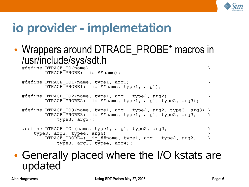

# **io provider - implemetation**

• Wrappers around DTRACE\_PROBE\* macros in /usr/include/sys/sdt.h

#define DTRACE IO(name)  $\setminus$ DTRACE<sup>-</sup>PROBE( io ##name);

#define DTRACE IO1(name, type1, arg1) DTRACE<sup>-</sup>PROBE1( io ##name, type1, arg1);

- #define DTRACE IO2(name, type1, arg1, type2, arg2) DTRACE<sup>-</sup>PROBE2( io ##name, type1, arg1, type2, arg2);
- #define DTRACE IO3(name, type1, arg1, type2, arg2, type3, arg3) \ DTRACE<sup>-</sup>PROBE3( io ##name, type1, arg1, type2, arg2, type3,  $arg\overline{3}$ ;

#define DTRACE IO4(name, type1, arg1, type2, arg2, type3,  $arg\overline{3}$ , type4,  $arg4$ ) DTRACE\_PROBE4( io ##name, type1, arg1, type2, arg2, type3, arg3, type4, arg4);

#### • Generally placed where the I/O kstats are updated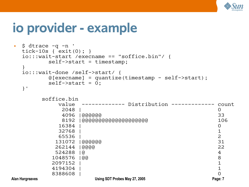

# **io provider - example**

```
Alan Hargreaves Using SDT Probes May 27, 2005 Page: 7
• $ dtrace -q -n '
 tick-10s { exit(0); }
 io:::wait-start /execname == "soffice.bin"/ {
      self->start = timestamp;
 }
 io:::wait-done /self->start/ {
     @[execname] = quantize(timestamp - self-start);self\rightarrow start = 0:
 }'
    soffice.bin<br>value
              ------ Distribution ------------- count
 2048 | 0
        4096 |@@@@@@ 33
        8192 |@@@@@@@@@@@@@@@@@@@@ 106
 16384 | 0
 32768 | 1
  65536 | 2
       131072 |@@@@@@ 31
       262144 |@@@@ 22
       524288 |@ 4
       1048576 |@@ 8
  2097152 | 1
  4194304 | 1
  8388608 | 0
```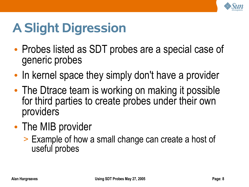

# **A Slight Digression**

- Probes listed as SDT probes are a special case of generic probes
- In kernel space they simply don't have a provider
- The Dtrace team is working on making it possible for third parties to create probes under their own providers
- The MIB provider
	- > Example of how a small change can create a host of useful probes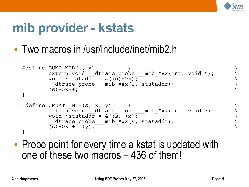

# **mib provider - kstats**

• Two macros in /usr/include/inet/mib2.h

```
#define BUMP MIB(s, x)
          extern void dtrace probe mib \##x(int, void *);
          void *stataddr = \&( (\overline{s}) ->x):
             dtrace probe mib ##x(1, stataddr);
          \overline{(s)} \rightarrow x++}
#define UPDATE MIB(s, x, y)
          extern void dtrace probe mib \##x(int, void *);
          void *statad\overline{dr} = \& ((\overline{s}) \rightarrow x);
             dtrace probe \mod ##x(y, stataddr);
          \overline{(s)} \rightarrow x + \overline{=} (y);
}
```
• Probe point for every time a kstat is updated with one of these two macros – 436 of them!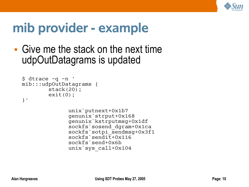

## **mib provider - example**

• Give me the stack on the next time udpOutDatagrams is updated

```
$ dtrace -q -n '
mib:::udpOutDatagrams {
         stack(20);
        exit(0):
}'
```

```
 unix`putnext+0x1b7
 genunix`strput+0x168
 genunix`kstrputmsg+0x1df
 sockfs`sosend_dgram+0x1ca
sockfs`sotpi sendmsg+0x3f1
sockfs'sendit+0x116
 sockfs`send+0x6b
 unix`sys_call+0x104
```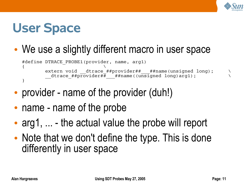

# **User Space**

#### • We use a slightly different macro in user space

```
#define DTRACE PROBE1(provider, name, arg1)
\left\{ \begin{array}{ccc} & & - & \\ & & & \end{array} \right.extern void dr = dtrace ##provider#####name(unsigned long); \qquad \setminusdtrace \# \# \overline{\text{provided}} \# \# \text{name} ((unsigned long)arg1);
}
```
- provider name of the provider (duh!)
- name name of the probe
- arg1, ... the actual value the probe will report
- Note that we don't define the type. This is done differently in user space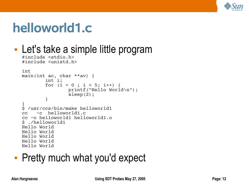

### **helloworld1.c**

### • Let's take a simple little program

```
#include <stdio.h>
#include <unistd.h>
```

```
int
main(int ac, char **av) {
         int i;
         for (i = 0; i < 5; i++) {
                   printf("Hello World\n");
                   sleep(2);
          }
\begin{array}{c} \n\frac{1}{5} \n\end{array}/usr/ccs/bin/make helloworld1
cc -c helloworld1.c
cc -o helloworld1 helloworld1.o
$ ./helloworld1
Hello World
Hello World
Hello World
Hello World
Hello World
```
#### • Pretty much what you'd expect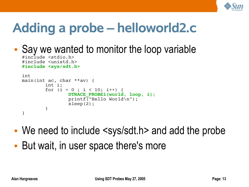

# **Adding a probe – helloworld2.c**

• Say we wanted to monitor the loop variable

#include <stdio.h> #include <unistd.h> **#include <sys/sdt.h>**

```
int
main(int ac, char **av) {
        int i;
        for (i = 0 ; i < 10; i++) {
                DTRACE_PROBE1(world, loop, i);
                printf("Hello World\n");
                 sleep(2);
        }
}
```
- We need to include <sys/sdt.h> and add the probe
- But wait, in user space there's more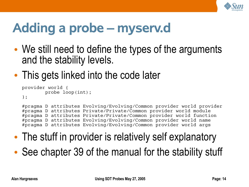

# **Adding a probe – myserv.d**

- We still need to define the types of the arguments and the stability levels.
- This gets linked into the code later

```
provider world {
        probe loop(int);
```

```
};
```
#pragma D attributes Evolving/Evolving/Common provider world provider #pragma D attributes Private/Private/Common provider world module #pragma D attributes Private/Private/Common provider world function #pragma D attributes Evolving/Evolving/Common provider world name #pragma D attributes Evolving/Evolving/Common provider world args

- The stuff in provider is relatively self explanatory
- See chapter 39 of the manual for the stability stuff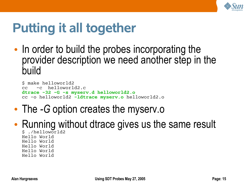

# **Putting it all together**

• In order to build the probes incorporating the provider description we need another step in the build

```
$ make helloworld2
cc -c helloworld2.c
dtrace -32 -G -s myserv.d helloworld2.o
cc -o helloworld2 -ldtrace myserv.o helloworld2.o
```
- The *-G* option creates the myserv.o
- Running without dtrace gives us the same result \$ ./helloworld2 Hello World
	- Hello World Hello World
	- Hello World
	- Hello World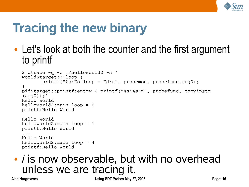

# **Tracing the new binary**

• Let's look at both the counter and the first argument to printf

```
$ dtrace -q -c ./helloworld2 -n '
world$target:::loop {
       printf("%s:%s loop = %d\n", probemod, probefunc, arg0);
}
pid$target::printf:entry { printf("%s:%s\n", probefunc, copyinstr
(\text{arg}0));'
Hello World
helloworld2:main loop = 0
printf:Hello World
Hello World
helloworld2:main loop = 1
printf:Hello World
...
Hello World
helloworld2:main loop = 4
printf:Hello World
```
#### • *i* is now observable, but with no overhead unless we are tracing it.

**Alan Hargreaves Using SDT Probes May 27, 2005 Page: 16**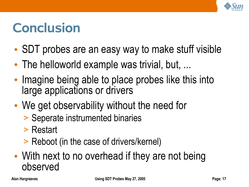

## **Conclusion**

- SDT probes are an easy way to make stuff visible
- The helloworld example was trivial, but, ...
- Imagine being able to place probes like this into large applications or drivers
- We get observability without the need for
	- > Seperate instrumented binaries
	- > Restart
	- > Reboot (in the case of drivers/kernel)
- With next to no overhead if they are not being observed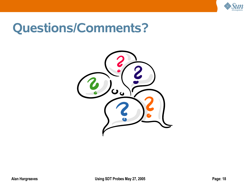

### **Questions/Comments?**